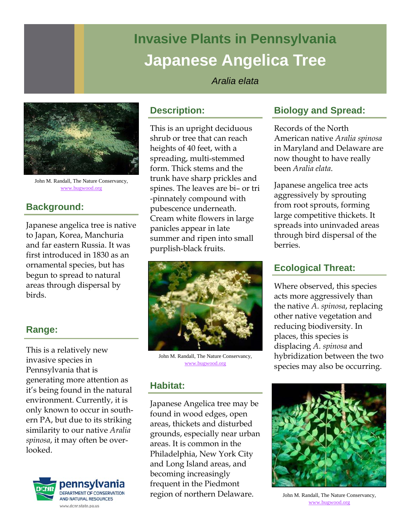# **Invasive Plants in Pennsylvania Japanese Angelica Tree**

#### *Aralia elata*



John M. Randall, The Nature Conservancy, www.bugwood.org

# **Background:**

Japanese angelica tree is native to Japan, Korea, Manchuria and far eastern Russia. It was first introduced in 1830 as an ornamental species, but has begun to spread to natural areas through dispersal by birds.

## **Range:**

This is a relatively new invasive species in Pennsylvania that is generating more attention as it's being found in the natural environment. Currently, it is only known to occur in southern PA, but due to its striking similarity to our native *Aralia spinosa*, it may often be overlooked.



# **Description:**

This is an upright deciduous shrub or tree that can reach heights of 40 feet, with a spreading, multi-stemmed form. Thick stems and the trunk have sharp prickles and spines. The leaves are bi– or tri -pinnately compound with pubescence underneath. Cream white flowers in large panicles appear in late summer and ripen into small purplish-black fruits.



John M. Randall, The Nature Conservancy, www.bugwood.org

## **Habitat:**

Japanese Angelica tree may be found in wood edges, open areas, thickets and disturbed grounds, especially near urban areas. It is common in the Philadelphia, New York City and Long Island areas, and becoming increasingly frequent in the Piedmont region of northern Delaware.

## **Biology and Spread:**

Records of the North American native *Aralia spinosa* in Maryland and Delaware are now thought to have really been *Aralia elata*.

Japanese angelica tree acts aggressively by sprouting from root sprouts, forming large competitive thickets. It spreads into uninvaded areas through bird dispersal of the berries.

## **Ecological Threat:**

Where observed, this species acts more aggressively than the native *A. spinosa*, replacing other native vegetation and reducing biodiversity. In places, this species is displacing *A. spinosa* and hybridization between the two species may also be occurring.



John M. Randall, The Nature Conservancy, www.bugwood.org